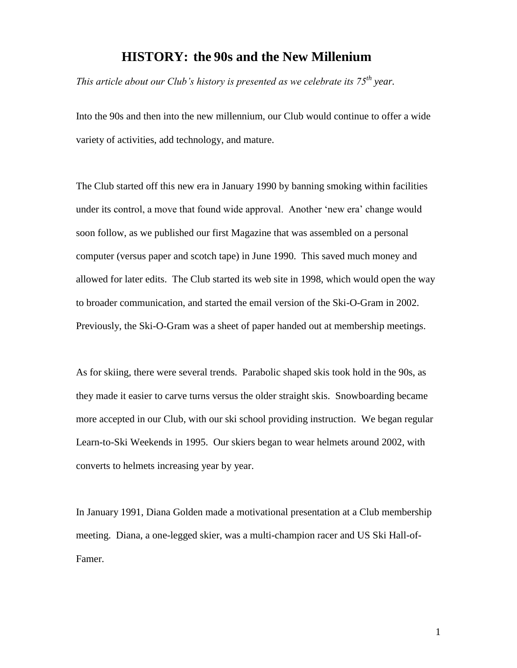## **HISTORY: the 90s and the New Millenium**

*This article about our Club's history is presented as we celebrate its 75th year.*

Into the 90s and then into the new millennium, our Club would continue to offer a wide variety of activities, add technology, and mature.

The Club started off this new era in January 1990 by banning smoking within facilities under its control, a move that found wide approval. Another "new era" change would soon follow, as we published our first Magazine that was assembled on a personal computer (versus paper and scotch tape) in June 1990. This saved much money and allowed for later edits. The Club started its web site in 1998, which would open the way to broader communication, and started the email version of the Ski-O-Gram in 2002. Previously, the Ski-O-Gram was a sheet of paper handed out at membership meetings.

As for skiing, there were several trends. Parabolic shaped skis took hold in the 90s, as they made it easier to carve turns versus the older straight skis. Snowboarding became more accepted in our Club, with our ski school providing instruction. We began regular Learn-to-Ski Weekends in 1995. Our skiers began to wear helmets around 2002, with converts to helmets increasing year by year.

In January 1991, Diana Golden made a motivational presentation at a Club membership meeting. Diana, a one-legged skier, was a multi-champion racer and US Ski Hall-of-Famer.